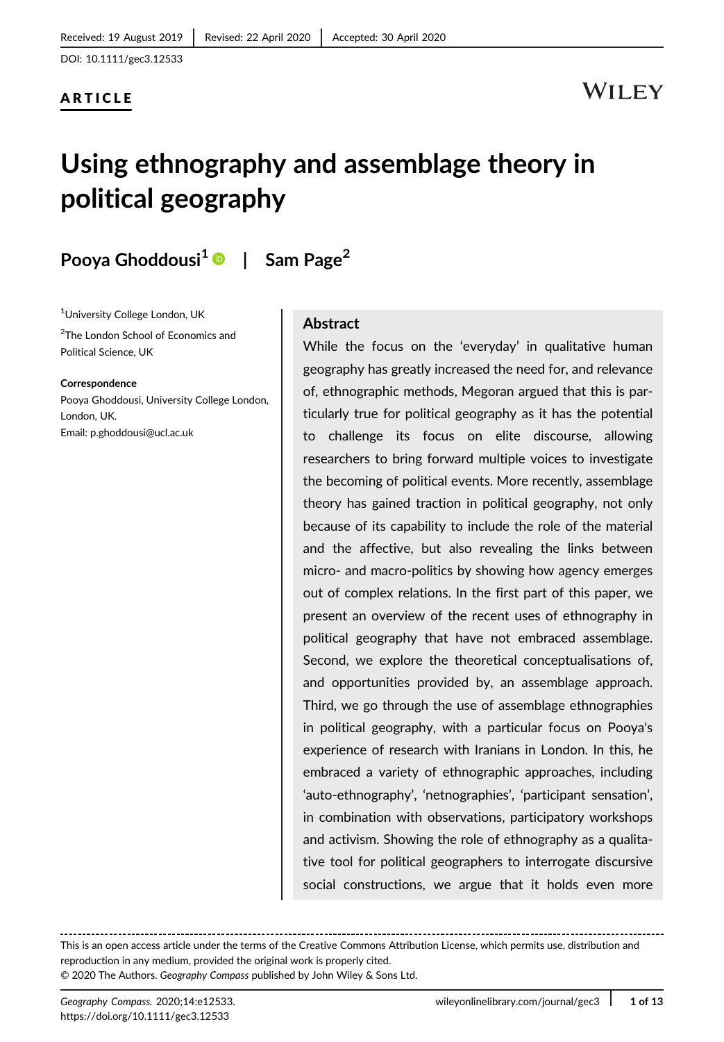### ARTICLE

# **WILEY**

# Using ethnography and assemblage theory in political geography

# Pooya Ghoddousi<sup>1</sup>  $\bullet$  | Sam Page<sup>2</sup>

1 University College London, UK

<sup>2</sup>The London School of Economics and Political Science, UK

Correspondence Pooya Ghoddousi, University College London, London, UK.

Email: p.ghoddousi@ucl.ac.uk

### Abstract

While the focus on the 'everyday' in qualitative human geography has greatly increased the need for, and relevance of, ethnographic methods, Megoran argued that this is particularly true for political geography as it has the potential to challenge its focus on elite discourse, allowing researchers to bring forward multiple voices to investigate the becoming of political events. More recently, assemblage theory has gained traction in political geography, not only because of its capability to include the role of the material and the affective, but also revealing the links between micro- and macro-politics by showing how agency emerges out of complex relations. In the first part of this paper, we present an overview of the recent uses of ethnography in political geography that have not embraced assemblage. Second, we explore the theoretical conceptualisations of, and opportunities provided by, an assemblage approach. Third, we go through the use of assemblage ethnographies in political geography, with a particular focus on Pooya's experience of research with Iranians in London. In this, he embraced a variety of ethnographic approaches, including 'auto-ethnography', 'netnographies', 'participant sensation', in combination with observations, participatory workshops and activism. Showing the role of ethnography as a qualitative tool for political geographers to interrogate discursive social constructions, we argue that it holds even more

This is an open access article under the terms of the [Creative Commons Attribution](http://creativecommons.org/licenses/by/4.0/) License, which permits use, distribution and reproduction in any medium, provided the original work is properly cited. © 2020 The Authors. Geography Compass published by John Wiley & Sons Ltd.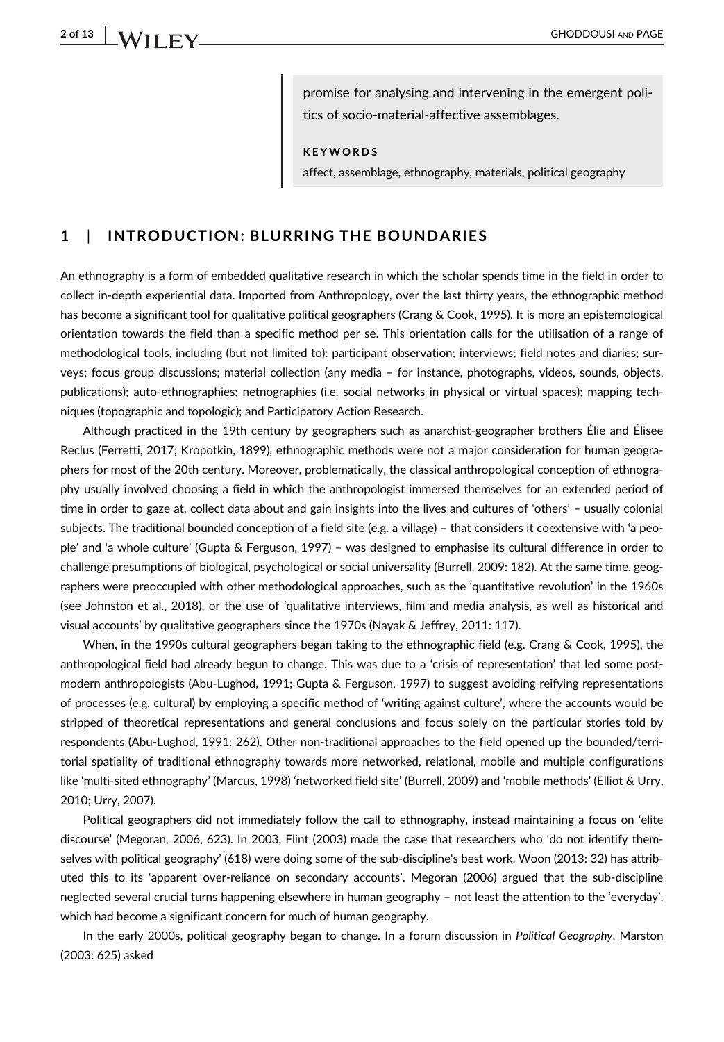promise for analysing and intervening in the emergent politics of socio-material-affective assemblages.

KEYWORDS

affect, assemblage, ethnography, materials, political geography

### 1 | INTRODUCTION: BLURRING THE BOUNDARIES

An ethnography is a form of embedded qualitative research in which the scholar spends time in the field in order to collect in-depth experiential data. Imported from Anthropology, over the last thirty years, the ethnographic method has become a significant tool for qualitative political geographers (Crang & Cook, 1995). It is more an epistemological orientation towards the field than a specific method per se. This orientation calls for the utilisation of a range of methodological tools, including (but not limited to): participant observation; interviews; field notes and diaries; surveys; focus group discussions; material collection (any media – for instance, photographs, videos, sounds, objects, publications); auto-ethnographies; netnographies (i.e. social networks in physical or virtual spaces); mapping techniques (topographic and topologic); and Participatory Action Research.

Although practiced in the 19th century by geographers such as anarchist-geographer brothers Élie and Élisee Reclus (Ferretti, 2017; Kropotkin, 1899), ethnographic methods were not a major consideration for human geographers for most of the 20th century. Moreover, problematically, the classical anthropological conception of ethnography usually involved choosing a field in which the anthropologist immersed themselves for an extended period of time in order to gaze at, collect data about and gain insights into the lives and cultures of 'others' – usually colonial subjects. The traditional bounded conception of a field site (e.g. a village) – that considers it coextensive with 'a people' and 'a whole culture' (Gupta & Ferguson, 1997) – was designed to emphasise its cultural difference in order to challenge presumptions of biological, psychological or social universality (Burrell, 2009: 182). At the same time, geographers were preoccupied with other methodological approaches, such as the 'quantitative revolution' in the 1960s (see Johnston et al., 2018), or the use of 'qualitative interviews, film and media analysis, as well as historical and visual accounts' by qualitative geographers since the 1970s (Nayak & Jeffrey, 2011: 117).

When, in the 1990s cultural geographers began taking to the ethnographic field (e.g. Crang & Cook, 1995), the anthropological field had already begun to change. This was due to a 'crisis of representation' that led some postmodern anthropologists (Abu-Lughod, 1991; Gupta & Ferguson, 1997) to suggest avoiding reifying representations of processes (e.g. cultural) by employing a specific method of 'writing against culture', where the accounts would be stripped of theoretical representations and general conclusions and focus solely on the particular stories told by respondents (Abu-Lughod, 1991: 262). Other non-traditional approaches to the field opened up the bounded/territorial spatiality of traditional ethnography towards more networked, relational, mobile and multiple configurations like 'multi-sited ethnography' (Marcus, 1998) 'networked field site' (Burrell, 2009) and 'mobile methods' (Elliot & Urry, 2010; Urry, 2007).

Political geographers did not immediately follow the call to ethnography, instead maintaining a focus on 'elite discourse' (Megoran, 2006, 623). In 2003, Flint (2003) made the case that researchers who 'do not identify themselves with political geography' (618) were doing some of the sub-discipline's best work. Woon (2013: 32) has attributed this to its 'apparent over-reliance on secondary accounts'. Megoran (2006) argued that the sub-discipline neglected several crucial turns happening elsewhere in human geography – not least the attention to the 'everyday', which had become a significant concern for much of human geography.

In the early 2000s, political geography began to change. In a forum discussion in Political Geography, Marston (2003: 625) asked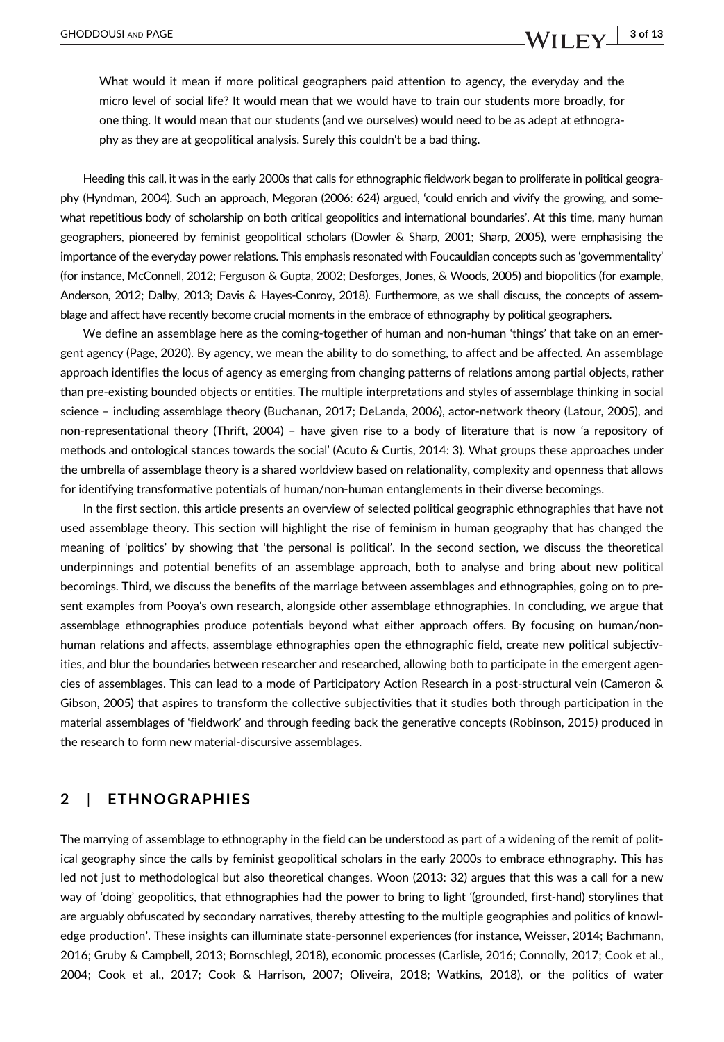## GHODDOUSI AND PAGE  $\begin{array}{c|c} \text{MII} & \text{3 of 13} \end{array}$

What would it mean if more political geographers paid attention to agency, the everyday and the micro level of social life? It would mean that we would have to train our students more broadly, for one thing. It would mean that our students (and we ourselves) would need to be as adept at ethnography as they are at geopolitical analysis. Surely this couldn't be a bad thing.

Heeding this call, it was in the early 2000s that calls for ethnographic fieldwork began to proliferate in political geography (Hyndman, 2004). Such an approach, Megoran (2006: 624) argued, 'could enrich and vivify the growing, and somewhat repetitious body of scholarship on both critical geopolitics and international boundaries'. At this time, many human geographers, pioneered by feminist geopolitical scholars (Dowler & Sharp, 2001; Sharp, 2005), were emphasising the importance of the everyday power relations. This emphasis resonated with Foucauldian concepts such as 'governmentality' (for instance, McConnell, 2012; Ferguson & Gupta, 2002; Desforges, Jones, & Woods, 2005) and biopolitics (for example, Anderson, 2012; Dalby, 2013; Davis & Hayes-Conroy, 2018). Furthermore, as we shall discuss, the concepts of assemblage and affect have recently become crucial moments in the embrace of ethnography by political geographers.

We define an assemblage here as the coming-together of human and non-human 'things' that take on an emergent agency (Page, 2020). By agency, we mean the ability to do something, to affect and be affected. An assemblage approach identifies the locus of agency as emerging from changing patterns of relations among partial objects, rather than pre-existing bounded objects or entities. The multiple interpretations and styles of assemblage thinking in social science – including assemblage theory (Buchanan, 2017; DeLanda, 2006), actor-network theory (Latour, 2005), and non-representational theory (Thrift, 2004) – have given rise to a body of literature that is now 'a repository of methods and ontological stances towards the social' (Acuto & Curtis, 2014: 3). What groups these approaches under the umbrella of assemblage theory is a shared worldview based on relationality, complexity and openness that allows for identifying transformative potentials of human/non-human entanglements in their diverse becomings.

In the first section, this article presents an overview of selected political geographic ethnographies that have not used assemblage theory. This section will highlight the rise of feminism in human geography that has changed the meaning of 'politics' by showing that 'the personal is political'. In the second section, we discuss the theoretical underpinnings and potential benefits of an assemblage approach, both to analyse and bring about new political becomings. Third, we discuss the benefits of the marriage between assemblages and ethnographies, going on to present examples from Pooya's own research, alongside other assemblage ethnographies. In concluding, we argue that assemblage ethnographies produce potentials beyond what either approach offers. By focusing on human/nonhuman relations and affects, assemblage ethnographies open the ethnographic field, create new political subjectivities, and blur the boundaries between researcher and researched, allowing both to participate in the emergent agencies of assemblages. This can lead to a mode of Participatory Action Research in a post-structural vein (Cameron & Gibson, 2005) that aspires to transform the collective subjectivities that it studies both through participation in the material assemblages of 'fieldwork' and through feeding back the generative concepts (Robinson, 2015) produced in the research to form new material-discursive assemblages.

### 2 | ETHNOGRAPHIES

The marrying of assemblage to ethnography in the field can be understood as part of a widening of the remit of political geography since the calls by feminist geopolitical scholars in the early 2000s to embrace ethnography. This has led not just to methodological but also theoretical changes. Woon (2013: 32) argues that this was a call for a new way of 'doing' geopolitics, that ethnographies had the power to bring to light '(grounded, first-hand) storylines that are arguably obfuscated by secondary narratives, thereby attesting to the multiple geographies and politics of knowledge production'. These insights can illuminate state-personnel experiences (for instance, Weisser, 2014; Bachmann, 2016; Gruby & Campbell, 2013; Bornschlegl, 2018), economic processes (Carlisle, 2016; Connolly, 2017; Cook et al., 2004; Cook et al., 2017; Cook & Harrison, 2007; Oliveira, 2018; Watkins, 2018), or the politics of water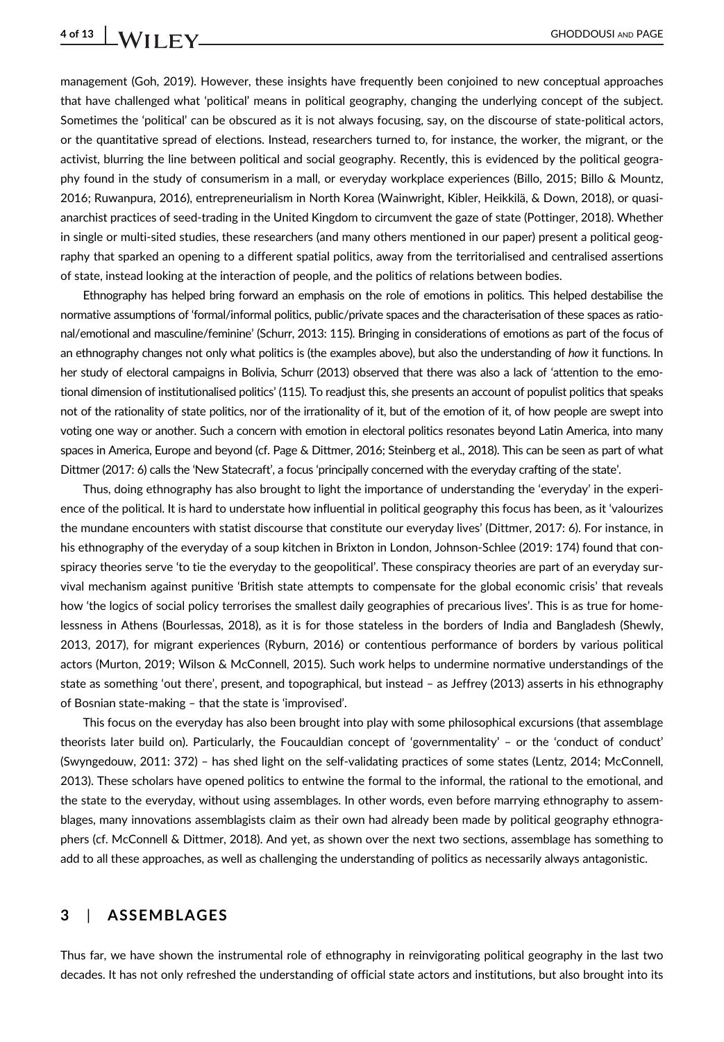management (Goh, 2019). However, these insights have frequently been conjoined to new conceptual approaches that have challenged what 'political' means in political geography, changing the underlying concept of the subject. Sometimes the 'political' can be obscured as it is not always focusing, say, on the discourse of state-political actors, or the quantitative spread of elections. Instead, researchers turned to, for instance, the worker, the migrant, or the activist, blurring the line between political and social geography. Recently, this is evidenced by the political geography found in the study of consumerism in a mall, or everyday workplace experiences (Billo, 2015; Billo & Mountz, 2016; Ruwanpura, 2016), entrepreneurialism in North Korea (Wainwright, Kibler, Heikkilä, & Down, 2018), or quasianarchist practices of seed-trading in the United Kingdom to circumvent the gaze of state (Pottinger, 2018). Whether in single or multi-sited studies, these researchers (and many others mentioned in our paper) present a political geography that sparked an opening to a different spatial politics, away from the territorialised and centralised assertions of state, instead looking at the interaction of people, and the politics of relations between bodies.

Ethnography has helped bring forward an emphasis on the role of emotions in politics. This helped destabilise the normative assumptions of 'formal/informal politics, public/private spaces and the characterisation of these spaces as rational/emotional and masculine/feminine' (Schurr, 2013: 115). Bringing in considerations of emotions as part of the focus of an ethnography changes not only what politics is (the examples above), but also the understanding of how it functions. In her study of electoral campaigns in Bolivia, Schurr (2013) observed that there was also a lack of 'attention to the emotional dimension of institutionalised politics' (115). To readjust this, she presents an account of populist politics that speaks not of the rationality of state politics, nor of the irrationality of it, but of the emotion of it, of how people are swept into voting one way or another. Such a concern with emotion in electoral politics resonates beyond Latin America, into many spaces in America, Europe and beyond (cf. Page & Dittmer, 2016; Steinberg et al., 2018). This can be seen as part of what Dittmer (2017: 6) calls the 'New Statecraft', a focus 'principally concerned with the everyday crafting of the state'.

Thus, doing ethnography has also brought to light the importance of understanding the 'everyday' in the experience of the political. It is hard to understate how influential in political geography this focus has been, as it 'valourizes the mundane encounters with statist discourse that constitute our everyday lives' (Dittmer, 2017: 6). For instance, in his ethnography of the everyday of a soup kitchen in Brixton in London, Johnson-Schlee (2019: 174) found that conspiracy theories serve 'to tie the everyday to the geopolitical'. These conspiracy theories are part of an everyday survival mechanism against punitive 'British state attempts to compensate for the global economic crisis' that reveals how 'the logics of social policy terrorises the smallest daily geographies of precarious lives'. This is as true for homelessness in Athens (Bourlessas, 2018), as it is for those stateless in the borders of India and Bangladesh (Shewly, 2013, 2017), for migrant experiences (Ryburn, 2016) or contentious performance of borders by various political actors (Murton, 2019; Wilson & McConnell, 2015). Such work helps to undermine normative understandings of the state as something 'out there', present, and topographical, but instead – as Jeffrey (2013) asserts in his ethnography of Bosnian state-making – that the state is 'improvised'.

This focus on the everyday has also been brought into play with some philosophical excursions (that assemblage theorists later build on). Particularly, the Foucauldian concept of 'governmentality' – or the 'conduct of conduct' (Swyngedouw, 2011: 372) – has shed light on the self-validating practices of some states (Lentz, 2014; McConnell, 2013). These scholars have opened politics to entwine the formal to the informal, the rational to the emotional, and the state to the everyday, without using assemblages. In other words, even before marrying ethnography to assemblages, many innovations assemblagists claim as their own had already been made by political geography ethnographers (cf. McConnell & Dittmer, 2018). And yet, as shown over the next two sections, assemblage has something to add to all these approaches, as well as challenging the understanding of politics as necessarily always antagonistic.

### 3 | ASSEMBLAGES

Thus far, we have shown the instrumental role of ethnography in reinvigorating political geography in the last two decades. It has not only refreshed the understanding of official state actors and institutions, but also brought into its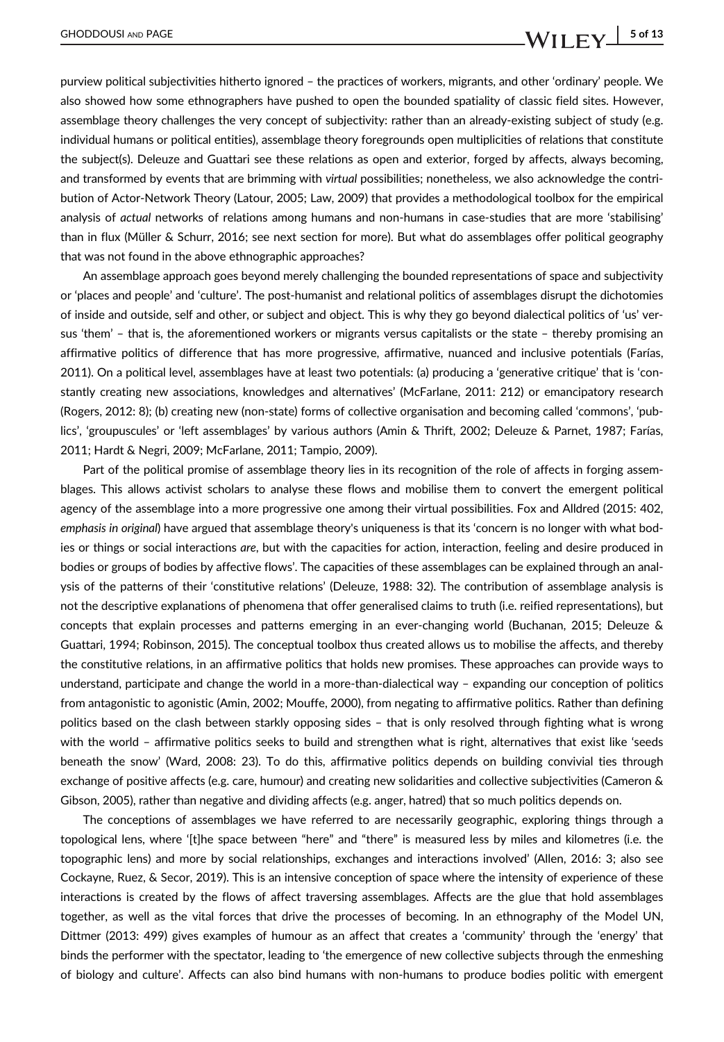purview political subjectivities hitherto ignored – the practices of workers, migrants, and other 'ordinary' people. We also showed how some ethnographers have pushed to open the bounded spatiality of classic field sites. However, assemblage theory challenges the very concept of subjectivity: rather than an already-existing subject of study (e.g. individual humans or political entities), assemblage theory foregrounds open multiplicities of relations that constitute the subject(s). Deleuze and Guattari see these relations as open and exterior, forged by affects, always becoming, and transformed by events that are brimming with virtual possibilities; nonetheless, we also acknowledge the contribution of Actor-Network Theory (Latour, 2005; Law, 2009) that provides a methodological toolbox for the empirical analysis of actual networks of relations among humans and non-humans in case-studies that are more 'stabilising' than in flux (Müller & Schurr, 2016; see next section for more). But what do assemblages offer political geography that was not found in the above ethnographic approaches?

An assemblage approach goes beyond merely challenging the bounded representations of space and subjectivity or 'places and people' and 'culture'. The post-humanist and relational politics of assemblages disrupt the dichotomies of inside and outside, self and other, or subject and object. This is why they go beyond dialectical politics of 'us' versus 'them' – that is, the aforementioned workers or migrants versus capitalists or the state – thereby promising an affirmative politics of difference that has more progressive, affirmative, nuanced and inclusive potentials (Farías, 2011). On a political level, assemblages have at least two potentials: (a) producing a 'generative critique' that is 'constantly creating new associations, knowledges and alternatives' (McFarlane, 2011: 212) or emancipatory research (Rogers, 2012: 8); (b) creating new (non-state) forms of collective organisation and becoming called 'commons', 'publics', 'groupuscules' or 'left assemblages' by various authors (Amin & Thrift, 2002; Deleuze & Parnet, 1987; Farías, 2011; Hardt & Negri, 2009; McFarlane, 2011; Tampio, 2009).

Part of the political promise of assemblage theory lies in its recognition of the role of affects in forging assemblages. This allows activist scholars to analyse these flows and mobilise them to convert the emergent political agency of the assemblage into a more progressive one among their virtual possibilities. Fox and Alldred (2015: 402, emphasis in original) have argued that assemblage theory's uniqueness is that its 'concern is no longer with what bodies or things or social interactions are, but with the capacities for action, interaction, feeling and desire produced in bodies or groups of bodies by affective flows'. The capacities of these assemblages can be explained through an analysis of the patterns of their 'constitutive relations' (Deleuze, 1988: 32). The contribution of assemblage analysis is not the descriptive explanations of phenomena that offer generalised claims to truth (i.e. reified representations), but concepts that explain processes and patterns emerging in an ever-changing world (Buchanan, 2015; Deleuze & Guattari, 1994; Robinson, 2015). The conceptual toolbox thus created allows us to mobilise the affects, and thereby the constitutive relations, in an affirmative politics that holds new promises. These approaches can provide ways to understand, participate and change the world in a more-than-dialectical way – expanding our conception of politics from antagonistic to agonistic (Amin, 2002; Mouffe, 2000), from negating to affirmative politics. Rather than defining politics based on the clash between starkly opposing sides – that is only resolved through fighting what is wrong with the world – affirmative politics seeks to build and strengthen what is right, alternatives that exist like 'seeds beneath the snow' (Ward, 2008: 23). To do this, affirmative politics depends on building convivial ties through exchange of positive affects (e.g. care, humour) and creating new solidarities and collective subjectivities (Cameron & Gibson, 2005), rather than negative and dividing affects (e.g. anger, hatred) that so much politics depends on.

The conceptions of assemblages we have referred to are necessarily geographic, exploring things through a topological lens, where '[t]he space between "here" and "there" is measured less by miles and kilometres (i.e. the topographic lens) and more by social relationships, exchanges and interactions involved' (Allen, 2016: 3; also see Cockayne, Ruez, & Secor, 2019). This is an intensive conception of space where the intensity of experience of these interactions is created by the flows of affect traversing assemblages. Affects are the glue that hold assemblages together, as well as the vital forces that drive the processes of becoming. In an ethnography of the Model UN, Dittmer (2013: 499) gives examples of humour as an affect that creates a 'community' through the 'energy' that binds the performer with the spectator, leading to 'the emergence of new collective subjects through the enmeshing of biology and culture'. Affects can also bind humans with non-humans to produce bodies politic with emergent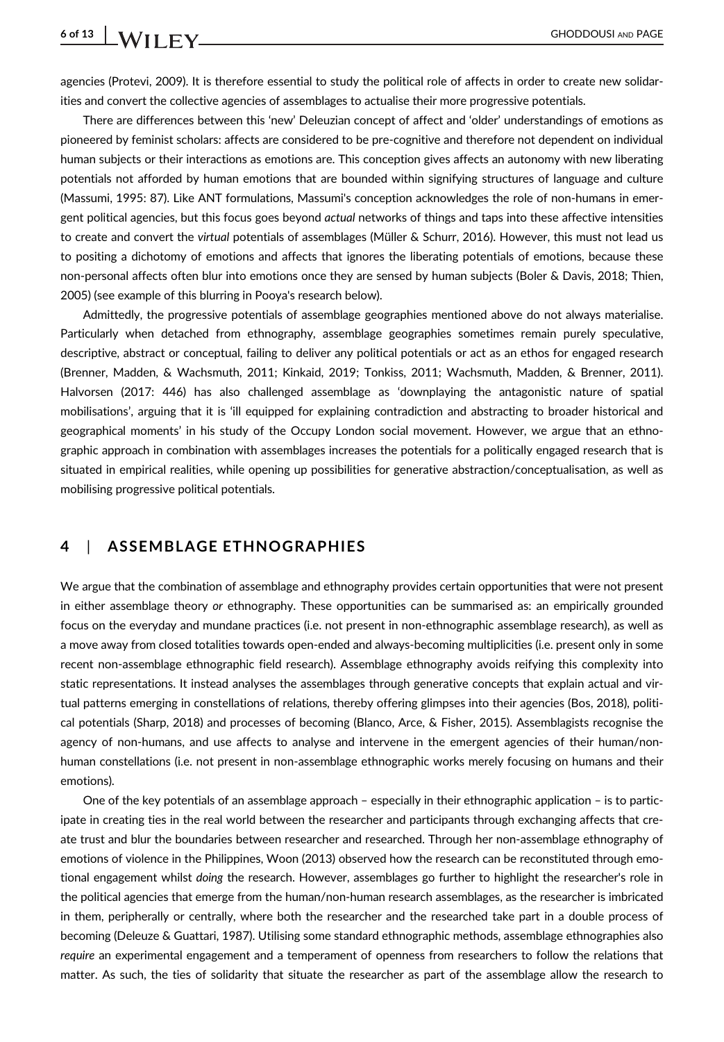agencies (Protevi, 2009). It is therefore essential to study the political role of affects in order to create new solidarities and convert the collective agencies of assemblages to actualise their more progressive potentials.

There are differences between this 'new' Deleuzian concept of affect and 'older' understandings of emotions as pioneered by feminist scholars: affects are considered to be pre-cognitive and therefore not dependent on individual human subjects or their interactions as emotions are. This conception gives affects an autonomy with new liberating potentials not afforded by human emotions that are bounded within signifying structures of language and culture (Massumi, 1995: 87). Like ANT formulations, Massumi's conception acknowledges the role of non-humans in emergent political agencies, but this focus goes beyond *actual* networks of things and taps into these affective intensities to create and convert the virtual potentials of assemblages (Müller & Schurr, 2016). However, this must not lead us to positing a dichotomy of emotions and affects that ignores the liberating potentials of emotions, because these non-personal affects often blur into emotions once they are sensed by human subjects (Boler & Davis, 2018; Thien, 2005) (see example of this blurring in Pooya's research below).

Admittedly, the progressive potentials of assemblage geographies mentioned above do not always materialise. Particularly when detached from ethnography, assemblage geographies sometimes remain purely speculative, descriptive, abstract or conceptual, failing to deliver any political potentials or act as an ethos for engaged research (Brenner, Madden, & Wachsmuth, 2011; Kinkaid, 2019; Tonkiss, 2011; Wachsmuth, Madden, & Brenner, 2011). Halvorsen (2017: 446) has also challenged assemblage as 'downplaying the antagonistic nature of spatial mobilisations', arguing that it is 'ill equipped for explaining contradiction and abstracting to broader historical and geographical moments' in his study of the Occupy London social movement. However, we argue that an ethnographic approach in combination with assemblages increases the potentials for a politically engaged research that is situated in empirical realities, while opening up possibilities for generative abstraction/conceptualisation, as well as mobilising progressive political potentials.

### 4 | ASSEMBLAGE ETHNOGRAPHIES

We argue that the combination of assemblage and ethnography provides certain opportunities that were not present in either assemblage theory or ethnography. These opportunities can be summarised as: an empirically grounded focus on the everyday and mundane practices (i.e. not present in non-ethnographic assemblage research), as well as a move away from closed totalities towards open-ended and always-becoming multiplicities (i.e. present only in some recent non-assemblage ethnographic field research). Assemblage ethnography avoids reifying this complexity into static representations. It instead analyses the assemblages through generative concepts that explain actual and virtual patterns emerging in constellations of relations, thereby offering glimpses into their agencies (Bos, 2018), political potentials (Sharp, 2018) and processes of becoming (Blanco, Arce, & Fisher, 2015). Assemblagists recognise the agency of non-humans, and use affects to analyse and intervene in the emergent agencies of their human/nonhuman constellations (i.e. not present in non-assemblage ethnographic works merely focusing on humans and their emotions).

One of the key potentials of an assemblage approach – especially in their ethnographic application – is to participate in creating ties in the real world between the researcher and participants through exchanging affects that create trust and blur the boundaries between researcher and researched. Through her non-assemblage ethnography of emotions of violence in the Philippines, Woon (2013) observed how the research can be reconstituted through emotional engagement whilst doing the research. However, assemblages go further to highlight the researcher's role in the political agencies that emerge from the human/non-human research assemblages, as the researcher is imbricated in them, peripherally or centrally, where both the researcher and the researched take part in a double process of becoming (Deleuze & Guattari, 1987). Utilising some standard ethnographic methods, assemblage ethnographies also require an experimental engagement and a temperament of openness from researchers to follow the relations that matter. As such, the ties of solidarity that situate the researcher as part of the assemblage allow the research to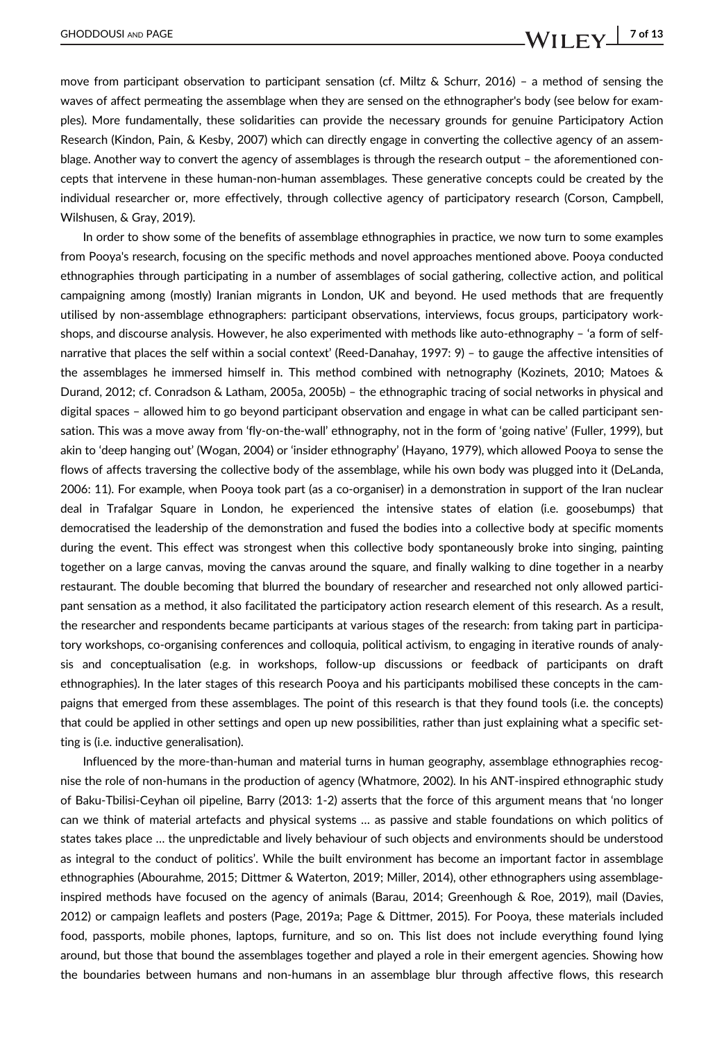move from participant observation to participant sensation (cf. Miltz & Schurr, 2016) – a method of sensing the waves of affect permeating the assemblage when they are sensed on the ethnographer's body (see below for examples). More fundamentally, these solidarities can provide the necessary grounds for genuine Participatory Action Research (Kindon, Pain, & Kesby, 2007) which can directly engage in converting the collective agency of an assemblage. Another way to convert the agency of assemblages is through the research output – the aforementioned concepts that intervene in these human-non-human assemblages. These generative concepts could be created by the individual researcher or, more effectively, through collective agency of participatory research (Corson, Campbell, Wilshusen, & Gray, 2019).

In order to show some of the benefits of assemblage ethnographies in practice, we now turn to some examples from Pooya's research, focusing on the specific methods and novel approaches mentioned above. Pooya conducted ethnographies through participating in a number of assemblages of social gathering, collective action, and political campaigning among (mostly) Iranian migrants in London, UK and beyond. He used methods that are frequently utilised by non-assemblage ethnographers: participant observations, interviews, focus groups, participatory workshops, and discourse analysis. However, he also experimented with methods like auto-ethnography – 'a form of selfnarrative that places the self within a social context' (Reed-Danahay, 1997: 9) – to gauge the affective intensities of the assemblages he immersed himself in. This method combined with netnography (Kozinets, 2010; Matoes & Durand, 2012; cf. Conradson & Latham, 2005a, 2005b) – the ethnographic tracing of social networks in physical and digital spaces – allowed him to go beyond participant observation and engage in what can be called participant sensation. This was a move away from 'fly-on-the-wall' ethnography, not in the form of 'going native' (Fuller, 1999), but akin to 'deep hanging out' (Wogan, 2004) or 'insider ethnography' (Hayano, 1979), which allowed Pooya to sense the flows of affects traversing the collective body of the assemblage, while his own body was plugged into it (DeLanda, 2006: 11). For example, when Pooya took part (as a co-organiser) in a demonstration in support of the Iran nuclear deal in Trafalgar Square in London, he experienced the intensive states of elation (i.e. goosebumps) that democratised the leadership of the demonstration and fused the bodies into a collective body at specific moments during the event. This effect was strongest when this collective body spontaneously broke into singing, painting together on a large canvas, moving the canvas around the square, and finally walking to dine together in a nearby restaurant. The double becoming that blurred the boundary of researcher and researched not only allowed participant sensation as a method, it also facilitated the participatory action research element of this research. As a result, the researcher and respondents became participants at various stages of the research: from taking part in participatory workshops, co-organising conferences and colloquia, political activism, to engaging in iterative rounds of analysis and conceptualisation (e.g. in workshops, follow-up discussions or feedback of participants on draft ethnographies). In the later stages of this research Pooya and his participants mobilised these concepts in the campaigns that emerged from these assemblages. The point of this research is that they found tools (i.e. the concepts) that could be applied in other settings and open up new possibilities, rather than just explaining what a specific setting is (i.e. inductive generalisation).

Influenced by the more-than-human and material turns in human geography, assemblage ethnographies recognise the role of non-humans in the production of agency (Whatmore, 2002). In his ANT-inspired ethnographic study of Baku-Tbilisi-Ceyhan oil pipeline, Barry (2013: 1-2) asserts that the force of this argument means that 'no longer can we think of material artefacts and physical systems … as passive and stable foundations on which politics of states takes place … the unpredictable and lively behaviour of such objects and environments should be understood as integral to the conduct of politics'. While the built environment has become an important factor in assemblage ethnographies (Abourahme, 2015; Dittmer & Waterton, 2019; Miller, 2014), other ethnographers using assemblageinspired methods have focused on the agency of animals (Barau, 2014; Greenhough & Roe, 2019), mail (Davies, 2012) or campaign leaflets and posters (Page, 2019a; Page & Dittmer, 2015). For Pooya, these materials included food, passports, mobile phones, laptops, furniture, and so on. This list does not include everything found lying around, but those that bound the assemblages together and played a role in their emergent agencies. Showing how the boundaries between humans and non-humans in an assemblage blur through affective flows, this research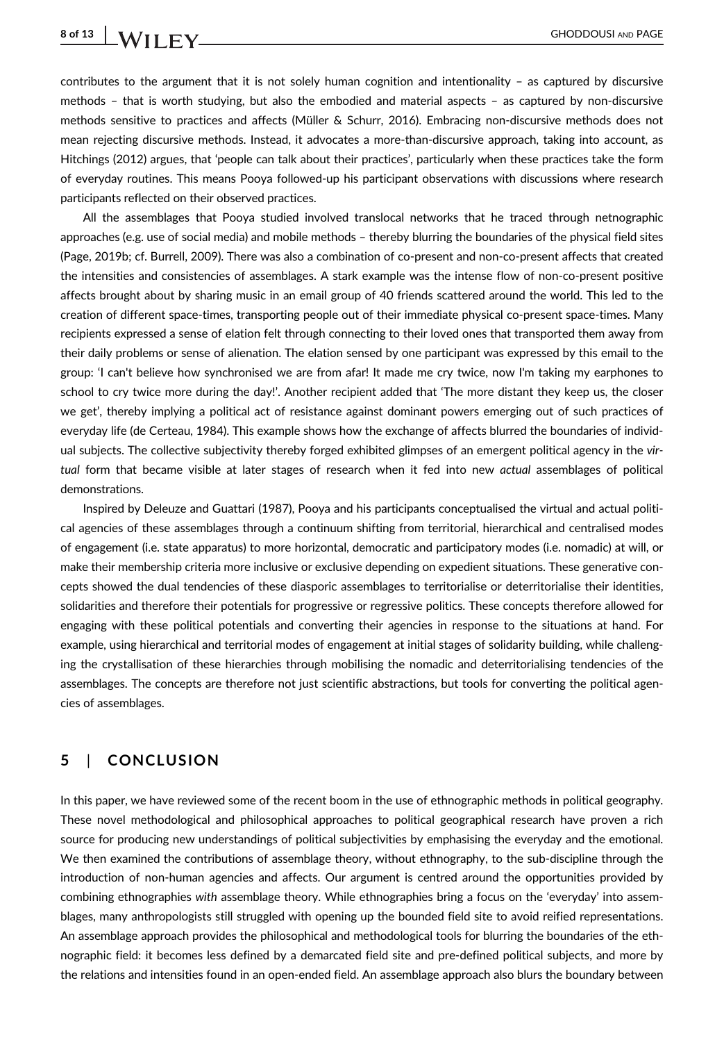# 8 of 13 | **IA/II**  $\Gamma$  **V**

contributes to the argument that it is not solely human cognition and intentionality – as captured by discursive methods – that is worth studying, but also the embodied and material aspects – as captured by non-discursive methods sensitive to practices and affects (Müller & Schurr, 2016). Embracing non-discursive methods does not mean rejecting discursive methods. Instead, it advocates a more-than-discursive approach, taking into account, as Hitchings (2012) argues, that 'people can talk about their practices', particularly when these practices take the form of everyday routines. This means Pooya followed-up his participant observations with discussions where research participants reflected on their observed practices.

All the assemblages that Pooya studied involved translocal networks that he traced through netnographic approaches (e.g. use of social media) and mobile methods – thereby blurring the boundaries of the physical field sites (Page, 2019b; cf. Burrell, 2009). There was also a combination of co-present and non-co-present affects that created the intensities and consistencies of assemblages. A stark example was the intense flow of non-co-present positive affects brought about by sharing music in an email group of 40 friends scattered around the world. This led to the creation of different space-times, transporting people out of their immediate physical co-present space-times. Many recipients expressed a sense of elation felt through connecting to their loved ones that transported them away from their daily problems or sense of alienation. The elation sensed by one participant was expressed by this email to the group: 'I can't believe how synchronised we are from afar! It made me cry twice, now I'm taking my earphones to school to cry twice more during the day!'. Another recipient added that 'The more distant they keep us, the closer we get', thereby implying a political act of resistance against dominant powers emerging out of such practices of everyday life (de Certeau, 1984). This example shows how the exchange of affects blurred the boundaries of individual subjects. The collective subjectivity thereby forged exhibited glimpses of an emergent political agency in the virtual form that became visible at later stages of research when it fed into new actual assemblages of political demonstrations.

Inspired by Deleuze and Guattari (1987), Pooya and his participants conceptualised the virtual and actual political agencies of these assemblages through a continuum shifting from territorial, hierarchical and centralised modes of engagement (i.e. state apparatus) to more horizontal, democratic and participatory modes (i.e. nomadic) at will, or make their membership criteria more inclusive or exclusive depending on expedient situations. These generative concepts showed the dual tendencies of these diasporic assemblages to territorialise or deterritorialise their identities, solidarities and therefore their potentials for progressive or regressive politics. These concepts therefore allowed for engaging with these political potentials and converting their agencies in response to the situations at hand. For example, using hierarchical and territorial modes of engagement at initial stages of solidarity building, while challenging the crystallisation of these hierarchies through mobilising the nomadic and deterritorialising tendencies of the assemblages. The concepts are therefore not just scientific abstractions, but tools for converting the political agencies of assemblages.

### 5 | CONCLUSION

In this paper, we have reviewed some of the recent boom in the use of ethnographic methods in political geography. These novel methodological and philosophical approaches to political geographical research have proven a rich source for producing new understandings of political subjectivities by emphasising the everyday and the emotional. We then examined the contributions of assemblage theory, without ethnography, to the sub-discipline through the introduction of non-human agencies and affects. Our argument is centred around the opportunities provided by combining ethnographies with assemblage theory. While ethnographies bring a focus on the 'everyday' into assemblages, many anthropologists still struggled with opening up the bounded field site to avoid reified representations. An assemblage approach provides the philosophical and methodological tools for blurring the boundaries of the ethnographic field: it becomes less defined by a demarcated field site and pre-defined political subjects, and more by the relations and intensities found in an open-ended field. An assemblage approach also blurs the boundary between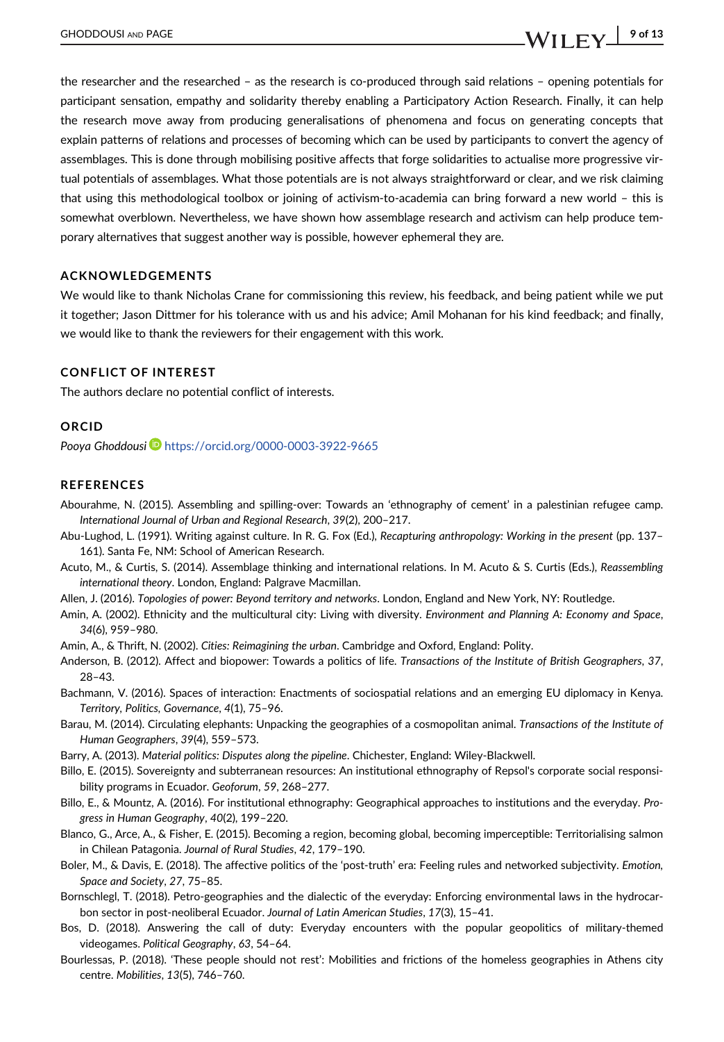the researcher and the researched – as the research is co-produced through said relations – opening potentials for participant sensation, empathy and solidarity thereby enabling a Participatory Action Research. Finally, it can help the research move away from producing generalisations of phenomena and focus on generating concepts that explain patterns of relations and processes of becoming which can be used by participants to convert the agency of assemblages. This is done through mobilising positive affects that forge solidarities to actualise more progressive virtual potentials of assemblages. What those potentials are is not always straightforward or clear, and we risk claiming that using this methodological toolbox or joining of activism-to-academia can bring forward a new world – this is somewhat overblown. Nevertheless, we have shown how assemblage research and activism can help produce temporary alternatives that suggest another way is possible, however ephemeral they are.

#### ACKNOWLEDGEMENTS

We would like to thank Nicholas Crane for commissioning this review, his feedback, and being patient while we put it together; Jason Dittmer for his tolerance with us and his advice; Amil Mohanan for his kind feedback; and finally, we would like to thank the reviewers for their engagement with this work.

#### CONFLICT OF INTEREST

The authors declare no potential conflict of interests.

#### ORCID

Pooya Ghoddousi D<https://orcid.org/0000-0003-3922-9665>

#### **REFERENCES**

- Abourahme, N. (2015). Assembling and spilling-over: Towards an 'ethnography of cement' in a palestinian refugee camp. International Journal of Urban and Regional Research, 39(2), 200–217.
- Abu-Lughod, L. (1991). Writing against culture. In R. G. Fox (Ed.), Recapturing anthropology: Working in the present (pp. 137– 161). Santa Fe, NM: School of American Research.
- Acuto, M., & Curtis, S. (2014). Assemblage thinking and international relations. In M. Acuto & S. Curtis (Eds.), Reassembling international theory. London, England: Palgrave Macmillan.
- Allen, J. (2016). Topologies of power: Beyond territory and networks. London, England and New York, NY: Routledge.
- Amin, A. (2002). Ethnicity and the multicultural city: Living with diversity. Environment and Planning A: Economy and Space, 34(6), 959–980.
- Amin, A., & Thrift, N. (2002). Cities: Reimagining the urban. Cambridge and Oxford, England: Polity.
- Anderson, B. (2012). Affect and biopower: Towards a politics of life. Transactions of the Institute of British Geographers, 37, 28–43.
- Bachmann, V. (2016). Spaces of interaction: Enactments of sociospatial relations and an emerging EU diplomacy in Kenya. Territory, Politics, Governance, 4(1), 75–96.
- Barau, M. (2014). Circulating elephants: Unpacking the geographies of a cosmopolitan animal. Transactions of the Institute of Human Geographers, 39(4), 559–573.
- Barry, A. (2013). Material politics: Disputes along the pipeline. Chichester, England: Wiley-Blackwell.
- Billo, E. (2015). Sovereignty and subterranean resources: An institutional ethnography of Repsol's corporate social responsibility programs in Ecuador. Geoforum, 59, 268–277.
- Billo, E., & Mountz, A. (2016). For institutional ethnography: Geographical approaches to institutions and the everyday. Progress in Human Geography, 40(2), 199–220.
- Blanco, G., Arce, A., & Fisher, E. (2015). Becoming a region, becoming global, becoming imperceptible: Territorialising salmon in Chilean Patagonia. Journal of Rural Studies, 42, 179–190.
- Boler, M., & Davis, E. (2018). The affective politics of the 'post-truth' era: Feeling rules and networked subjectivity. Emotion, Space and Society, 27, 75–85.
- Bornschlegl, T. (2018). Petro-geographies and the dialectic of the everyday: Enforcing environmental laws in the hydrocarbon sector in post-neoliberal Ecuador. Journal of Latin American Studies, 17(3), 15–41.
- Bos, D. (2018). Answering the call of duty: Everyday encounters with the popular geopolitics of military-themed videogames. Political Geography, 63, 54–64.
- Bourlessas, P. (2018). 'These people should not rest': Mobilities and frictions of the homeless geographies in Athens city centre. Mobilities, 13(5), 746–760.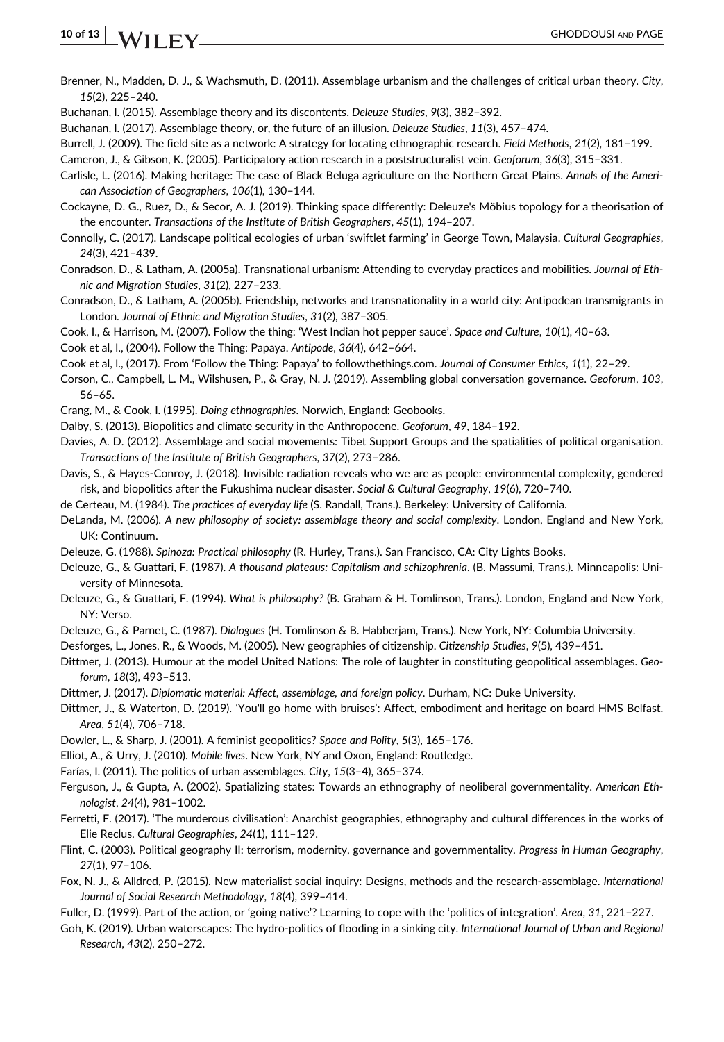- Brenner, N., Madden, D. J., & Wachsmuth, D. (2011). Assemblage urbanism and the challenges of critical urban theory. City, 15(2), 225–240.
- Buchanan, I. (2015). Assemblage theory and its discontents. Deleuze Studies, 9(3), 382–392.
- Buchanan, I. (2017). Assemblage theory, or, the future of an illusion. Deleuze Studies, 11(3), 457–474.
- Burrell, J. (2009). The field site as a network: A strategy for locating ethnographic research. Field Methods, 21(2), 181–199.
- Cameron, J., & Gibson, K. (2005). Participatory action research in a poststructuralist vein. Geoforum, 36(3), 315–331.
- Carlisle, L. (2016). Making heritage: The case of Black Beluga agriculture on the Northern Great Plains. Annals of the American Association of Geographers, 106(1), 130–144.
- Cockayne, D. G., Ruez, D., & Secor, A. J. (2019). Thinking space differently: Deleuze's Möbius topology for a theorisation of the encounter. Transactions of the Institute of British Geographers, 45(1), 194–207.
- Connolly, C. (2017). Landscape political ecologies of urban 'swiftlet farming' in George Town, Malaysia. Cultural Geographies, 24(3), 421–439.
- Conradson, D., & Latham, A. (2005a). Transnational urbanism: Attending to everyday practices and mobilities. Journal of Ethnic and Migration Studies, 31(2), 227–233.
- Conradson, D., & Latham, A. (2005b). Friendship, networks and transnationality in a world city: Antipodean transmigrants in London. Journal of Ethnic and Migration Studies, 31(2), 387–305.
- Cook, I., & Harrison, M. (2007). Follow the thing: 'West Indian hot pepper sauce'. Space and Culture, 10(1), 40–63.
- Cook et al, I., (2004). Follow the Thing: Papaya. Antipode, 36(4), 642–664.
- Cook et al, I., (2017). From 'Follow the Thing: Papaya' to followthethings.com. Journal of Consumer Ethics, 1(1), 22–29.
- Corson, C., Campbell, L. M., Wilshusen, P., & Gray, N. J. (2019). Assembling global conversation governance. Geoforum, 103, 56–65.
- Crang, M., & Cook, I. (1995). Doing ethnographies. Norwich, England: Geobooks.
- Dalby, S. (2013). Biopolitics and climate security in the Anthropocene. Geoforum, 49, 184–192.
- Davies, A. D. (2012). Assemblage and social movements: Tibet Support Groups and the spatialities of political organisation. Transactions of the Institute of British Geographers, 37(2), 273–286.
- Davis, S., & Hayes-Conroy, J. (2018). Invisible radiation reveals who we are as people: environmental complexity, gendered risk, and biopolitics after the Fukushima nuclear disaster. Social & Cultural Geography, 19(6), 720–740.
- de Certeau, M. (1984). The practices of everyday life (S. Randall, Trans.). Berkeley: University of California.
- DeLanda, M. (2006). A new philosophy of society: assemblage theory and social complexity. London, England and New York, UK: Continuum.
- Deleuze, G. (1988). Spinoza: Practical philosophy (R. Hurley, Trans.). San Francisco, CA: City Lights Books.
- Deleuze, G., & Guattari, F. (1987). A thousand plateaus: Capitalism and schizophrenia. (B. Massumi, Trans.). Minneapolis: University of Minnesota.
- Deleuze, G., & Guattari, F. (1994). What is philosophy? (B. Graham & H. Tomlinson, Trans.). London, England and New York, NY: Verso.
- Deleuze, G., & Parnet, C. (1987). Dialogues (H. Tomlinson & B. Habberjam, Trans.). New York, NY: Columbia University.
- Desforges, L., Jones, R., & Woods, M. (2005). New geographies of citizenship. Citizenship Studies, 9(5), 439–451.
- Dittmer, J. (2013). Humour at the model United Nations: The role of laughter in constituting geopolitical assemblages. Geoforum, 18(3), 493–513.
- Dittmer, J. (2017). Diplomatic material: Affect, assemblage, and foreign policy. Durham, NC: Duke University.
- Dittmer, J., & Waterton, D. (2019). 'You'll go home with bruises': Affect, embodiment and heritage on board HMS Belfast. Area, 51(4), 706–718.
- Dowler, L., & Sharp, J. (2001). A feminist geopolitics? Space and Polity, 5(3), 165–176.
- Elliot, A., & Urry, J. (2010). Mobile lives. New York, NY and Oxon, England: Routledge.
- Farías, I. (2011). The politics of urban assemblages. City, 15(3–4), 365–374.
- Ferguson, J., & Gupta, A. (2002). Spatializing states: Towards an ethnography of neoliberal governmentality. American Ethnologist, 24(4), 981–1002.
- Ferretti, F. (2017). 'The murderous civilisation': Anarchist geographies, ethnography and cultural differences in the works of Elie Reclus. Cultural Geographies, 24(1), 111–129.
- Flint, C. (2003). Political geography II: terrorism, modernity, governance and governmentality. Progress in Human Geography, 27(1), 97–106.
- Fox, N. J., & Alldred, P. (2015). New materialist social inquiry: Designs, methods and the research-assemblage. International Journal of Social Research Methodology, 18(4), 399–414.
- Fuller, D. (1999). Part of the action, or 'going native'? Learning to cope with the 'politics of integration'. Area, 31, 221–227.
- Goh, K. (2019). Urban waterscapes: The hydro-politics of flooding in a sinking city. International Journal of Urban and Regional Research, 43(2), 250–272.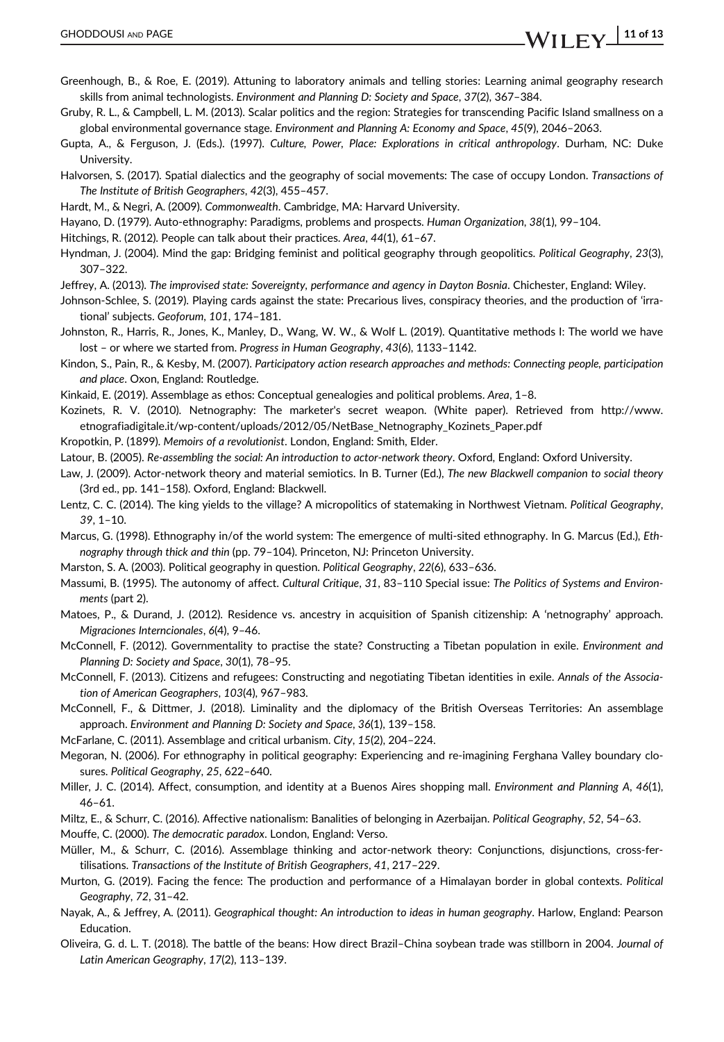- Greenhough, B., & Roe, E. (2019). Attuning to laboratory animals and telling stories: Learning animal geography research skills from animal technologists. Environment and Planning D: Society and Space, 37(2), 367–384.
- Gruby, R. L., & Campbell, L. M. (2013). Scalar politics and the region: Strategies for transcending Pacific Island smallness on a global environmental governance stage. Environment and Planning A: Economy and Space, 45(9), 2046–2063.
- Gupta, A., & Ferguson, J. (Eds.). (1997). Culture, Power, Place: Explorations in critical anthropology. Durham, NC: Duke University.
- Halvorsen, S. (2017). Spatial dialectics and the geography of social movements: The case of occupy London. Transactions of The Institute of British Geographers, 42(3), 455–457.
- Hardt, M., & Negri, A. (2009). Commonwealth. Cambridge, MA: Harvard University.
- Hayano, D. (1979). Auto-ethnography: Paradigms, problems and prospects. Human Organization, 38(1), 99–104.
- Hitchings, R. (2012). People can talk about their practices. Area, 44(1), 61–67.
- Hyndman, J. (2004). Mind the gap: Bridging feminist and political geography through geopolitics. Political Geography, 23(3), 307–322.
- Jeffrey, A. (2013). The improvised state: Sovereignty, performance and agency in Dayton Bosnia. Chichester, England: Wiley.
- Johnson-Schlee, S. (2019). Playing cards against the state: Precarious lives, conspiracy theories, and the production of 'irrational' subjects. Geoforum, 101, 174–181.
- Johnston, R., Harris, R., Jones, K., Manley, D., Wang, W. W., & Wolf L. (2019). Quantitative methods I: The world we have lost – or where we started from. Progress in Human Geography, 43(6), 1133–1142.
- Kindon, S., Pain, R., & Kesby, M. (2007). Participatory action research approaches and methods: Connecting people, participation and place. Oxon, England: Routledge.
- Kinkaid, E. (2019). Assemblage as ethos: Conceptual genealogies and political problems. Area, 1–8.
- Kozinets, R. V. (2010). Netnography: The marketer's secret weapon. (White paper). Retrieved from [http://www.](http://www.etnografiadigitale.it/wp-content/uploads/2012/05/NetBase_Netnography_Kozinets_Paper.pdf) [etnografiadigitale.it/wp-content/uploads/2012/05/NetBase\\_Netnography\\_Kozinets\\_Paper.pdf](http://www.etnografiadigitale.it/wp-content/uploads/2012/05/NetBase_Netnography_Kozinets_Paper.pdf)
- Kropotkin, P. (1899). Memoirs of a revolutionist. London, England: Smith, Elder.
- Latour, B. (2005). Re-assembling the social: An introduction to actor-network theory. Oxford, England: Oxford University.
- Law, J. (2009). Actor-network theory and material semiotics. In B. Turner (Ed.), The new Blackwell companion to social theory (3rd ed., pp. 141–158). Oxford, England: Blackwell.
- Lentz, C. C. (2014). The king yields to the village? A micropolitics of statemaking in Northwest Vietnam. Political Geography, 39, 1–10.
- Marcus, G. (1998). Ethnography in/of the world system: The emergence of multi-sited ethnography. In G. Marcus (Ed.), Ethnography through thick and thin (pp. 79–104). Princeton, NJ: Princeton University.
- Marston, S. A. (2003). Political geography in question. Political Geography, 22(6), 633–636.
- Massumi, B. (1995). The autonomy of affect. Cultural Critique, 31, 83–110 Special issue: The Politics of Systems and Environments (part 2).
- Matoes, P., & Durand, J. (2012). Residence vs. ancestry in acquisition of Spanish citizenship: A 'netnography' approach. Migraciones Interncionales, 6(4), 9–46.
- McConnell, F. (2012). Governmentality to practise the state? Constructing a Tibetan population in exile. Environment and Planning D: Society and Space, 30(1), 78–95.
- McConnell, F. (2013). Citizens and refugees: Constructing and negotiating Tibetan identities in exile. Annals of the Association of American Geographers, 103(4), 967–983.
- McConnell, F., & Dittmer, J. (2018). Liminality and the diplomacy of the British Overseas Territories: An assemblage approach. Environment and Planning D: Society and Space, 36(1), 139–158.
- McFarlane, C. (2011). Assemblage and critical urbanism. City, 15(2), 204–224.
- Megoran, N. (2006). For ethnography in political geography: Experiencing and re-imagining Ferghana Valley boundary closures. Political Geography, 25, 622–640.
- Miller, J. C. (2014). Affect, consumption, and identity at a Buenos Aires shopping mall. Environment and Planning A, 46(1), 46–61.
- Miltz, E., & Schurr, C. (2016). Affective nationalism: Banalities of belonging in Azerbaijan. Political Geography, 52, 54–63.
- Mouffe, C. (2000). The democratic paradox. London, England: Verso.
- Müller, M., & Schurr, C. (2016). Assemblage thinking and actor-network theory: Conjunctions, disjunctions, cross-fertilisations. Transactions of the Institute of British Geographers, 41, 217–229.
- Murton, G. (2019). Facing the fence: The production and performance of a Himalayan border in global contexts. Political Geography, 72, 31–42.
- Nayak, A., & Jeffrey, A. (2011). Geographical thought: An introduction to ideas in human geography. Harlow, England: Pearson **Education**
- Oliveira, G. d. L. T. (2018). The battle of the beans: How direct Brazil–China soybean trade was stillborn in 2004. Journal of Latin American Geography, 17(2), 113–139.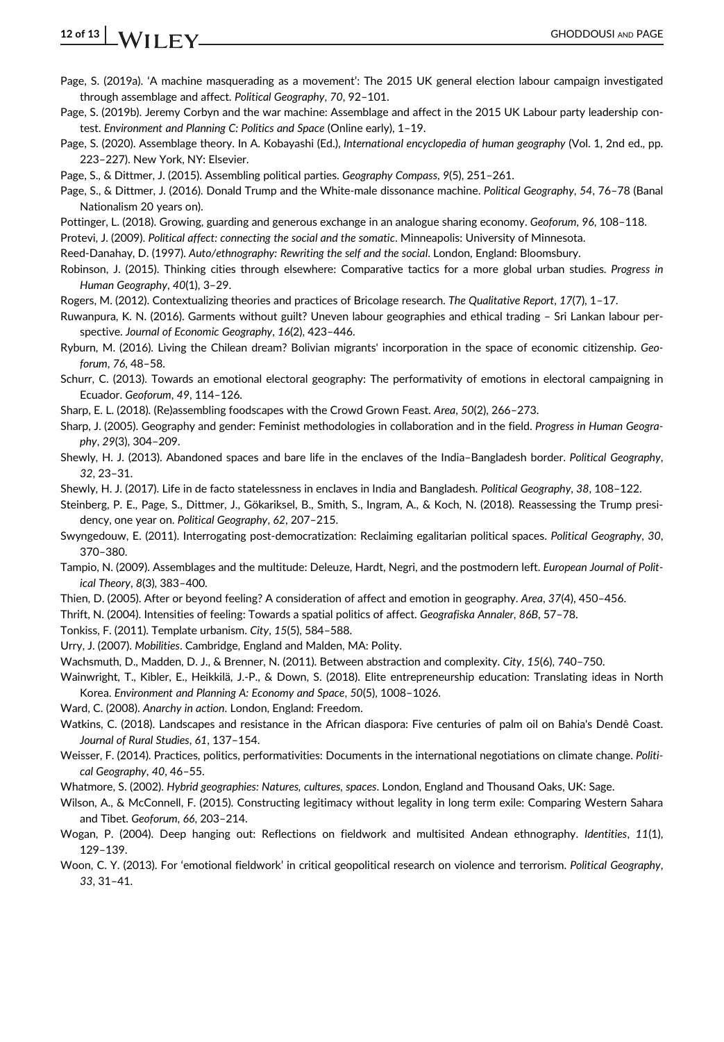- Page, S. (2019a). 'A machine masquerading as a movement': The 2015 UK general election labour campaign investigated through assemblage and affect. Political Geography, 70, 92–101.
- Page, S. (2019b). Jeremy Corbyn and the war machine: Assemblage and affect in the 2015 UK Labour party leadership contest. Environment and Planning C: Politics and Space (Online early), 1–19.
- Page, S. (2020). Assemblage theory. In A. Kobayashi (Ed.), International encyclopedia of human geography (Vol. 1, 2nd ed., pp. 223–227). New York, NY: Elsevier.
- Page, S., & Dittmer, J. (2015). Assembling political parties. Geography Compass, 9(5), 251–261.
- Page, S., & Dittmer, J. (2016). Donald Trump and the White-male dissonance machine. Political Geography, 54, 76–78 (Banal Nationalism 20 years on).
- Pottinger, L. (2018). Growing, guarding and generous exchange in an analogue sharing economy. Geoforum, 96, 108–118.
- Protevi, J. (2009). Political affect: connecting the social and the somatic. Minneapolis: University of Minnesota.
- Reed-Danahay, D. (1997). Auto/ethnography: Rewriting the self and the social. London, England: Bloomsbury.
- Robinson, J. (2015). Thinking cities through elsewhere: Comparative tactics for a more global urban studies. Progress in Human Geography, 40(1), 3–29.
- Rogers, M. (2012). Contextualizing theories and practices of Bricolage research. The Qualitative Report, 17(7), 1–17.
- Ruwanpura, K. N. (2016). Garments without guilt? Uneven labour geographies and ethical trading Sri Lankan labour perspective. Journal of Economic Geography, 16(2), 423–446.
- Ryburn, M. (2016). Living the Chilean dream? Bolivian migrants' incorporation in the space of economic citizenship. Geoforum, 76, 48–58.
- Schurr, C. (2013). Towards an emotional electoral geography: The performativity of emotions in electoral campaigning in Ecuador. Geoforum, 49, 114–126.
- Sharp, E. L. (2018). (Re)assembling foodscapes with the Crowd Grown Feast. Area, 50(2), 266–273.
- Sharp, J. (2005). Geography and gender: Feminist methodologies in collaboration and in the field. Progress in Human Geography, 29(3), 304–209.
- Shewly, H. J. (2013). Abandoned spaces and bare life in the enclaves of the India–Bangladesh border. Political Geography, 32, 23–31.
- Shewly, H. J. (2017). Life in de facto statelessness in enclaves in India and Bangladesh. Political Geography, 38, 108–122.
- Steinberg, P. E., Page, S., Dittmer, J., Gökariksel, B., Smith, S., Ingram, A., & Koch, N. (2018). Reassessing the Trump presidency, one year on. Political Geography, 62, 207–215.
- Swyngedouw, E. (2011). Interrogating post-democratization: Reclaiming egalitarian political spaces. Political Geography, 30, 370–380.
- Tampio, N. (2009). Assemblages and the multitude: Deleuze, Hardt, Negri, and the postmodern left. European Journal of Political Theory, 8(3), 383–400.
- Thien, D. (2005). After or beyond feeling? A consideration of affect and emotion in geography. Area, 37(4), 450–456.
- Thrift, N. (2004). Intensities of feeling: Towards a spatial politics of affect. Geografiska Annaler, 86B, 57–78.

Tonkiss, F. (2011). Template urbanism. City, 15(5), 584–588.

- Urry, J. (2007). Mobilities. Cambridge, England and Malden, MA: Polity.
- Wachsmuth, D., Madden, D. J., & Brenner, N. (2011). Between abstraction and complexity. City, 15(6), 740–750.
- Wainwright, T., Kibler, E., Heikkilä, J.-P., & Down, S. (2018). Elite entrepreneurship education: Translating ideas in North Korea. Environment and Planning A: Economy and Space, 50(5), 1008–1026.

Ward, C. (2008). Anarchy in action. London, England: Freedom.

- Watkins, C. (2018). Landscapes and resistance in the African diaspora: Five centuries of palm oil on Bahia's Dendê Coast. Journal of Rural Studies, 61, 137–154.
- Weisser, F. (2014). Practices, politics, performativities: Documents in the international negotiations on climate change. Political Geography, 40, 46–55.
- Whatmore, S. (2002). Hybrid geographies: Natures, cultures, spaces. London, England and Thousand Oaks, UK: Sage.
- Wilson, A., & McConnell, F. (2015). Constructing legitimacy without legality in long term exile: Comparing Western Sahara and Tibet. Geoforum, 66, 203–214.
- Wogan, P. (2004). Deep hanging out: Reflections on fieldwork and multisited Andean ethnography. Identities, 11(1), 129–139.
- Woon, C. Y. (2013). For 'emotional fieldwork' in critical geopolitical research on violence and terrorism. Political Geography, 33, 31–41.